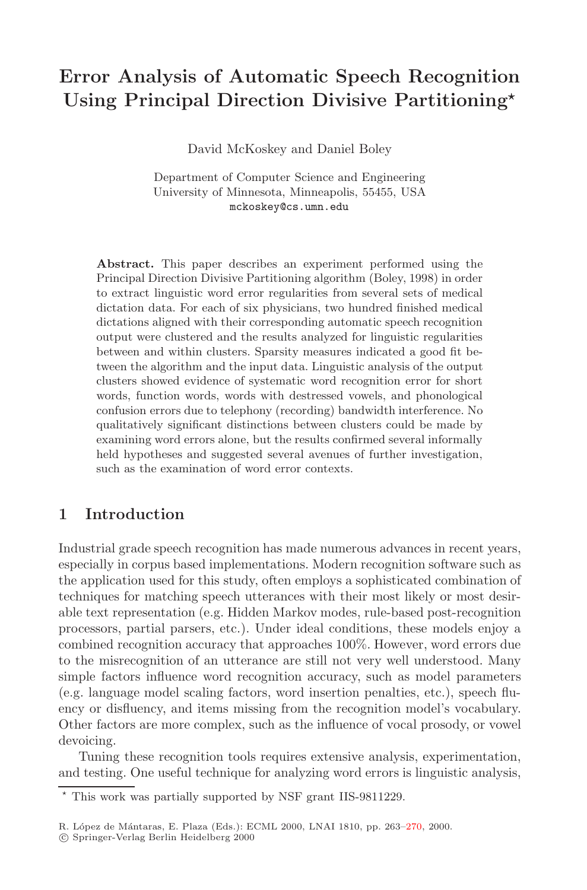# **Error Analysis of Automatic Speech Recognition Using Principal Direction Divisive Partitioning**

David McKoskey and Daniel Boley

Department of Computer Science and Engineering University of Minnesota, Minneapolis, 55455, USA mckoskey@cs.umn.edu

**Abstract.** This paper describes an experiment performed using the Principal Direction Divisive Partitioning algorithm (Boley, 1998) in order to extract linguistic word error regularities from several sets of medical dictation data. For each of six physicians, two hundred finished medical dictations aligned with their corresponding automatic speech recognition output were clustered and the results analyzed for linguistic regularities between and within clusters. Sparsity measures indicated a good fit between the algorithm and the input data. Linguistic analysis of the output clusters showed evidence of systematic word recognition error for short words, function words, words with destressed vowels, and phonological confusion errors due to telephony (recording) bandwidth interference. No qualitatively significant distinctions between clusters could be made by examining word errors alone, but the results confirmed several informally held hypotheses and suggested several avenues of further investigation, such as the examination of word error contexts.

## **1 Introduction**

Industrial grade speech recognition has made numerous advances in recent years, especially in corpus based implementations. Modern recognition software such as the application used for this study, often employs a sophisticated combination of techniques for matching speech utterances with their most likely or most desirable text representation (e.g. Hidden Markov modes, rule-based post-recognition processors, partial parsers, etc.). Under ideal conditions, these models enjoy a combined recognition accuracy that approaches 100%. However, word errors due to the misrecognition of an utterance are still not very well understood. Many simple factors influence word recognition accuracy, such as model parameters (e.g. language model scaling factors, word insertion penalties, etc.), speech fluency or disfluency, and items missing from the recognition model's vocabulary. Other factors are more complex, such as the influence of vocal prosody, or vowel devoicing.

Tuning these recognition tools requires extensive analysis, experimentation, and testing. One useful technique for analyzing word errors is linguistic analysis,

This work was partially supported by NSF grant IIS-9811229.

R. López de Mántaras, E. Plaza (Eds.): ECML 2000, LNAI 1810, pp. 263-270, 2000.

c Springer-Verlag Berlin Heidelberg 2000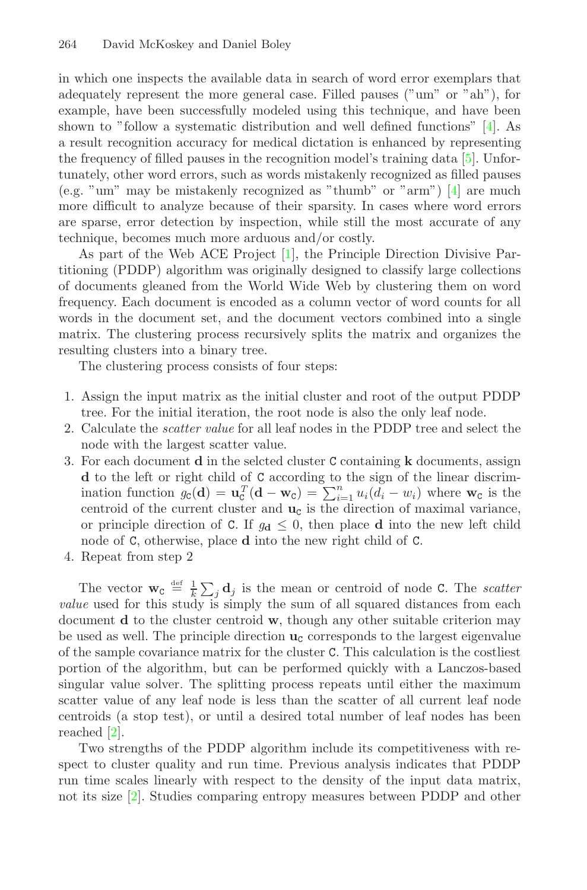<span id="page-1-0"></span>in which one inspects the available data in search of word error exemplars that adequately represent the more general case. Filled pauses ("um" or "ah"), for example, have been successfully modeled using this technique, and have been shown to "follow a systematic distribution and well defined functions" [\[4\]](#page-7-1). As a result recognition accuracy for medical dictation is enhanced by representing the frequency of filled pauses in the recognition model's training data [\[5\]](#page-7-2). Unfortunately, other word errors, such as words mistakenly recognized as filled pauses (e.g. "um" may be mistakenly recognized as "thumb" or "arm")  $\boxed{4}$  are much more difficult to analyze because of their sparsity. In cases where word errors are sparse, error detection by inspection, while still the most accurate of any technique, becomes much more arduous and/or costly.

As part of the Web ACE Project [\[1\]](#page-7-3), the Principle Direction Divisive Partitioning (PDDP) algorithm was originally designed to classify large collections of documents gleaned from the World Wide Web by clustering them on word frequency. Each document is encoded as a column vector of word counts for all words in the document set, and the document vectors combined into a single matrix. The clustering process recursively splits the matrix and organizes the resulting clusters into a binary tree.

The clustering process consists of four steps:

- 1. Assign the input matrixas the initial cluster and root of the output PDDP tree. For the initial iteration, the root node is also the only leaf node.
- 2. Calculate the *scatter value* for all leaf nodes in the PDDP tree and select the node with the largest scatter value.
- 3. For each document **<sup>d</sup>** in the selcted cluster C containing **<sup>k</sup>** documents, assign **<sup>d</sup>** to the left or right child of C according to the sign of the linear discrimination function  $g_c(\mathbf{d}) = \mathbf{u}_c^T(\mathbf{d} - \mathbf{w}_c) = \sum_{i=1}^n u_i(d_i - w_i)$  where  $\mathbf{w}_c$  is the centroid of the current cluster and  $\mathbf{u}_c$  is the direction of maximal variance, or principle direction of C. If  $g_d \leq 0$ , then place **d** into the new left child node of C, otherwise, place **<sup>d</sup>** into the new right child of C.
- 4. Repeat from step 2

The vector  $\mathbf{w}_C \stackrel{\text{def}}{=} \frac{1}{k} \sum_j \mathbf{d}_j$  is the mean or centroid of node C. The *scatter value* used for this study is simply the sum of all squared distances from each document **d** to the cluster centroid **w**, though any other suitable criterion may be used as well. The principle direction  $\mathbf{u}_c$  corresponds to the largest eigenvalue of the sample covariance matrixfor the cluster C. This calculation is the costliest portion of the algorithm, but can be performed quickly with a Lanczos-based singular value solver. The splitting process repeats until either the maximum scatter value of any leaf node is less than the scatter of all current leaf node centroids (a stop test), or until a desired total number of leaf nodes has been reached [\[2\]](#page-7-4).

Two strengths of the PDDP algorithm include its competitiveness with respect to cluster quality and run time. Previous analysis indicates that PDDP run time scales linearly with respect to the density of the input data matrix, not its size [\[2\]](#page-7-4). Studies comparing entropy measures between PDDP and other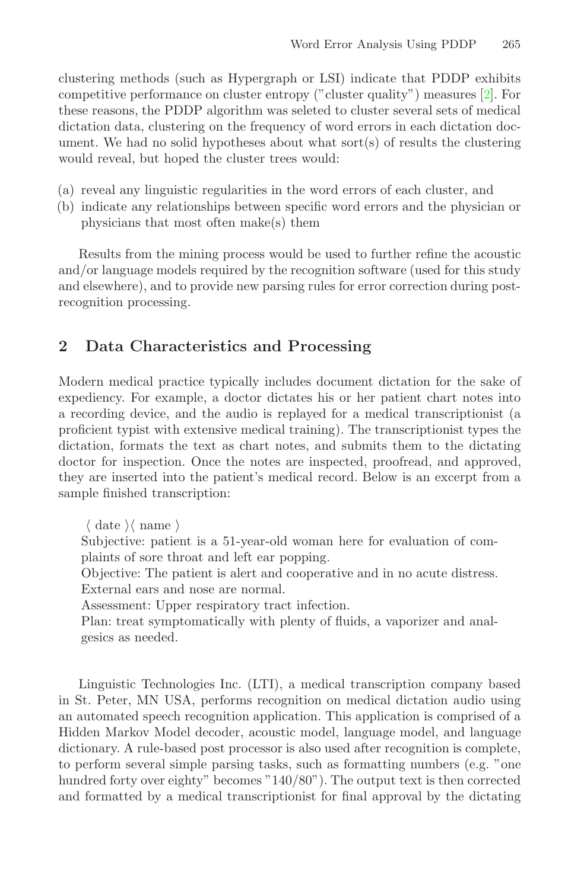<span id="page-2-0"></span>clustering methods (such as Hypergraph or LSI) indicate that PDDP exhibits competitive performance on cluster entropy ("cluster quality") measures [\[2\]](#page-7-4). For these reasons, the PDDP algorithm was seleted to cluster several sets of medical dictation data, clustering on the frequency of word errors in each dictation document. We had no solid hypotheses about what sort(s) of results the clustering would reveal, but hoped the cluster trees would:

- (a) reveal any linguistic regularities in the word errors of each cluster, and
- (b) indicate any relationships between specific word errors and the physician or physicians that most often make(s) them

Results from the mining process would be used to further refine the acoustic and/or language models required by the recognition software (used for this study and elsewhere), and to provide new parsing rules for error correction during postrecognition processing.

## **2 Data Characteristics and Processing**

Modern medical practice typically includes document dictation for the sake of expediency. For example, a doctor dictates his or her patient chart notes into a recording device, and the audio is replayed for a medical transcriptionist (a proficient typist with extensive medical training). The transcriptionist types the dictation, formats the text as chart notes, and submits them to the dictating doctor for inspection. Once the notes are inspected, proofread, and approved, they are inserted into the patient's medical record. Below is an excerpt from a sample finished transcription:

 $\langle$  date  $\rangle$  name  $\rangle$ 

Subjective: patient is a 51-year-old woman here for evaluation of complaints of sore throat and left ear popping.

Objective: The patient is alert and cooperative and in no acute distress. External ears and nose are normal.

Assessment: Upper respiratory tract infection.

Plan: treat symptomatically with plenty of fluids, a vaporizer and analgesics as needed.

Linguistic Technologies Inc. (LTI), a medical transcription company based in St. Peter, MN USA, performs recognition on medical dictation audio using an automated speech recognition application. This application is comprised of a Hidden Markov Model decoder, acoustic model, language model, and language dictionary. A rule-based post processor is also used after recognition is complete, to perform several simple parsing tasks, such as formatting numbers (e.g. "one hundred forty over eighty" becomes "140/80"). The output text is then corrected and formatted by a medical transcriptionist for final approval by the dictating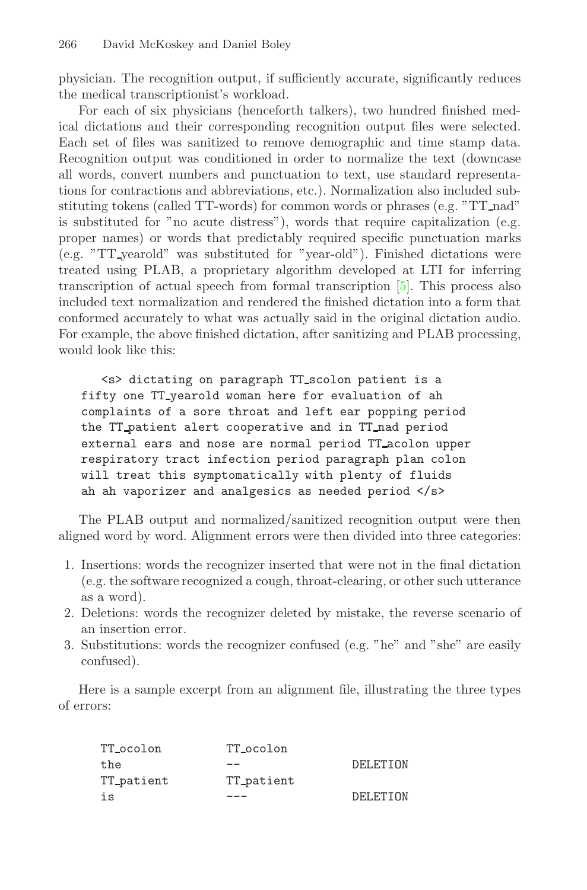<span id="page-3-0"></span>physician. The recognition output, if sufficiently accurate, significantly reduces the medical transcriptionist's workload.

For each of six physicians (henceforth talkers), two hundred finished medical dictations and their corresponding recognition output files were selected. Each set of files was sanitized to remove demographic and time stamp data. Recognition output was conditioned in order to normalize the text (downcase all words, convert numbers and punctuation to text, use standard representations for contractions and abbreviations, etc.). Normalization also included substituting tokens (called TT-words) for common words or phrases (e.g. "TT nad" is substituted for "no acute distress"), words that require capitalization (e.g. proper names) or words that predictably required specific punctuation marks (e.g. "TT yearold" was substituted for "year-old"). Finished dictations were treated using PLAB, a proprietary algorithm developed at LTI for inferring transcription of actual speech from formal transcription [\[5\]](#page-7-2). This process also included text normalization and rendered the finished dictation into a form that conformed accurately to what was actually said in the original dictation audio. For example, the above finished dictation, after sanitizing and PLAB processing, would look like this:

<s> dictating on paragraph TT scolon patient is a complaints of a sore throat and left ear popping period the TT\_patient alert cooperative and in TT\_nad period external ears and nose are normal period TT\_acolon upper respiratory tract infection period paragraph plan colon will treat this symptomatically with plenty of fluids  $\frac{1}{\pi}$  is sympath plants of the sympath plants of the fluid  $\frac{1}{\pi}$ ah vaporizer and analysis as needed period  $\frac{1}{2}$ 

The PLAB output and normalized/sanitized recognition output were then aligned word by word. Alignment errors were then divided into three categories:

- 1. Insertions: words the recognizer inserted that were not in the final dictation (e.g. the software recognized a cough, throat-clearing, or other such utterance as a word).
- 2. Deletions: words the recognizer deleted by mistake, the reverse scenario of an insertion error.
- 3. Substitutions: words the recognizer confused (e.g. "he" and "she" are easily confused).

Here is a sample excerpt from an alignment file, illustrating the three types of errors:

| TT_ocolon  | TT_ocolon  |          |
|------------|------------|----------|
| the        |            | DELETION |
| TT_patient | TT_patient |          |
| is         |            | DELETION |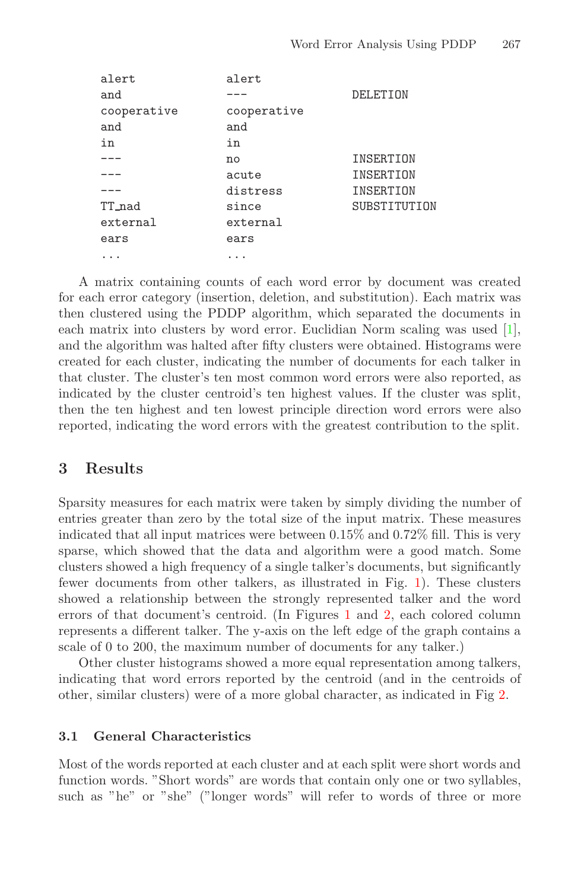<span id="page-4-0"></span>

| alert       | alert       |              |
|-------------|-------------|--------------|
| and         |             | DELETION     |
| cooperative | cooperative |              |
| and         | and         |              |
| in          | in          |              |
|             | no          | INSERTION    |
|             | acute       | INSERTION    |
|             | distress    | INSERTION    |
| TT_nad      | since       | SUBSTITUTION |
| external    | external    |              |
| ears        | ears        |              |
|             |             |              |

A matrix containing counts of each word error by document was created for each error category (insertion, deletion, and substitution). Each matrixwas then clustered using the PDDP algorithm, which separated the documents in each matrix into clusters by word error. Euclidian Norm scaling was used  $[1]$ , and the algorithm was halted after fifty clusters were obtained. Histograms were created for each cluster, indicating the number of documents for each talker in that cluster. The cluster's ten most common word errors were also reported, as indicated by the cluster centroid's ten highest values. If the cluster was split, then the ten highest and ten lowest principle direction word errors were also reported, indicating the word errors with the greatest contribution to the split.

### **3 Results**

Sparsity measures for each matrixwere taken by simply dividing the number of entries greater than zero by the total size of the input matrix. These measures indicated that all input matrices were between 0.15% and 0.72% fill. This is very sparse, which showed that the data and algorithm were a good match. Some clusters showed a high frequency of a single talker's documents, but significantly fewer documents from other talkers, as illustrated in Fig. [1\)](#page-5-0). These clusters showed a relationship between the strongly represented talker and the word errors of that document's centroid. (In Figures [1](#page-5-0) and [2,](#page-5-1) each colored column represents a different talker. The y-axis on the left edge of the graph contains a scale of 0 to 200, the maximum number of documents for any talker.)

Other cluster histograms showed a more equal representation among talkers, indicating that word errors reported by the centroid (and in the centroids of other, similar clusters) were of a more global character, as indicated in Fig [2.](#page-5-1)

#### **3.1 General Characteristics**

Most of the words reported at each cluster and at each split were short words and function words. "Short words" are words that contain only one or two syllables, such as "he" or "she" ("longer words" will refer to words of three or more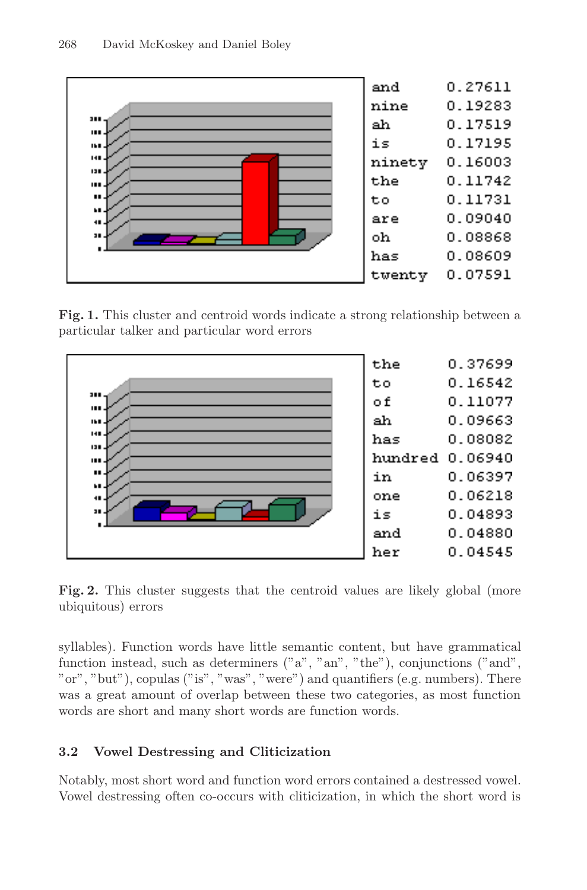<span id="page-5-0"></span>

**Fig. 1.** This cluster and centroid words indicate a strong relationship between a particular talker and particular word errors

<span id="page-5-1"></span>

**Fig. 2.** This cluster suggests that the centroid values are likely global (more ubiquitous) errors

syllables). Function words have little semantic content, but have grammatical function instead, such as determiners ("a", "an", "the"), conjunctions ("and", "or", "but"), copulas ("is", "was", "were") and quantifiers (e.g. numbers). There was a great amount of overlap between these two categories, as most function words are short and many short words are function words.

### **3.2 Vowel Destressing and Cliticization**

Notably, most short word and function word errors contained a destressed vowel. Vowel destressing often co-occurs with cliticization, in which the short word is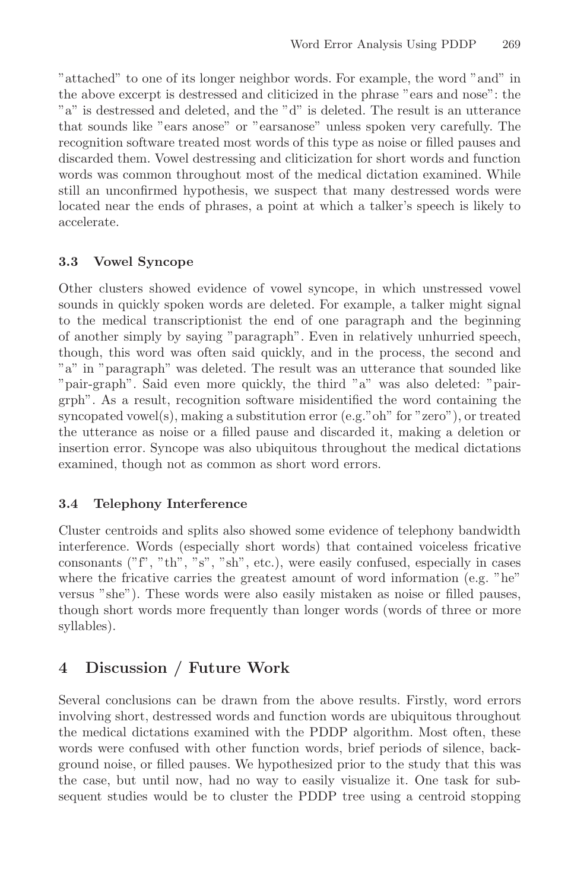"attached" to one of its longer neighbor words. For example, the word "and" in the above excerpt is destressed and cliticized in the phrase "ears and nose": the "a" is destressed and deleted, and the "d" is deleted. The result is an utterance that sounds like "ears anose" or "earsanose" unless spoken very carefully. The recognition software treated most words of this type as noise or filled pauses and discarded them. Vowel destressing and cliticization for short words and function words was common throughout most of the medical dictation examined. While still an unconfirmed hypothesis, we suspect that many destressed words were located near the ends of phrases, a point at which a talker's speech is likely to accelerate.

#### **3.3 Vowel Syncope**

Other clusters showed evidence of vowel syncope, in which unstressed vowel sounds in quickly spoken words are deleted. For example, a talker might signal to the medical transcriptionist the end of one paragraph and the beginning of another simply by saying "paragraph". Even in relatively unhurried speech, though, this word was often said quickly, and in the process, the second and "a" in "paragraph" was deleted. The result was an utterance that sounded like "pair-graph". Said even more quickly, the third "a" was also deleted: "pairgrph". As a result, recognition software misidentified the word containing the syncopated vowel(s), making a substitution error (e.g."oh" for "zero"), or treated the utterance as noise or a filled pause and discarded it, making a deletion or insertion error. Syncope was also ubiquitous throughout the medical dictations examined, though not as common as short word errors.

#### **3.4 Telephony Interference**

Cluster centroids and splits also showed some evidence of telephony bandwidth interference. Words (especially short words) that contained voiceless fricative consonants  $("f", "th", "s", "sh", etc.),$  were easily confused, especially in cases where the fricative carries the greatest amount of word information (e.g. "he" versus "she"). These words were also easily mistaken as noise or filled pauses, though short words more frequently than longer words (words of three or more syllables).

# **4 Discussion / Future Work**

Several conclusions can be drawn from the above results. Firstly, word errors involving short, destressed words and function words are ubiquitous throughout the medical dictations examined with the PDDP algorithm. Most often, these words were confused with other function words, brief periods of silence, background noise, or filled pauses. We hypothesized prior to the study that this was the case, but until now, had no way to easily visualize it. One task for subsequent studies would be to cluster the PDDP tree using a centroid stopping